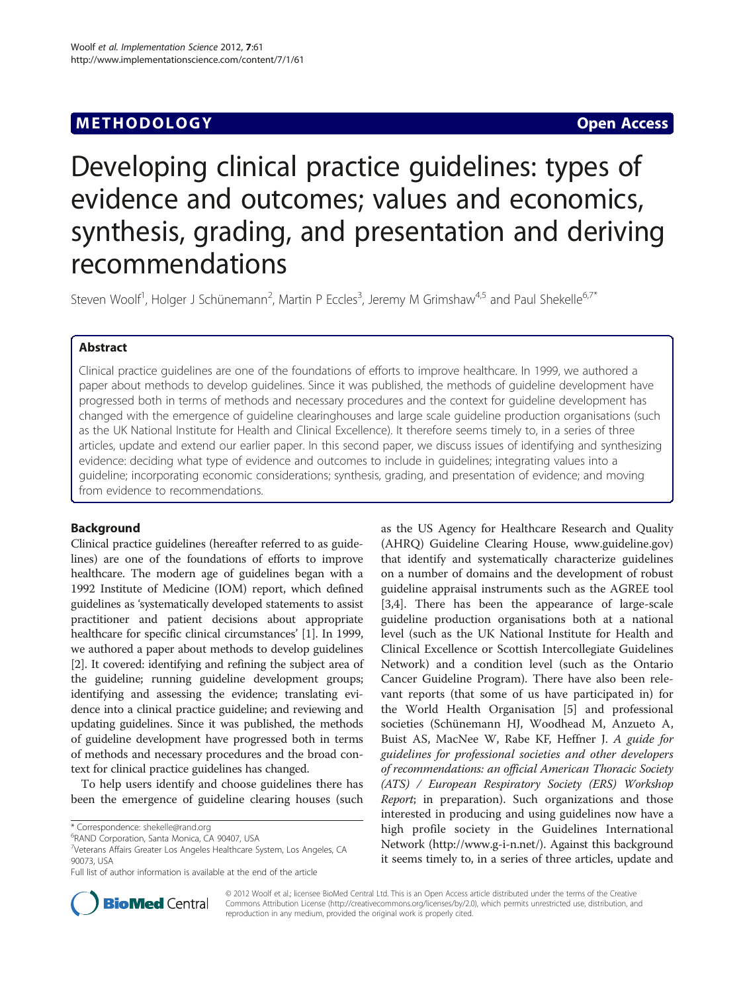# **METHODOLOGY CONSUMING ACCESS**

# Developing clinical practice guidelines: types of evidence and outcomes; values and economics, synthesis, grading, and presentation and deriving recommendations

Steven Woolf<sup>1</sup>, Holger J Schünemann<sup>2</sup>, Martin P Eccles<sup>3</sup>, Jeremy M Grimshaw<sup>4,5</sup> and Paul Shekelle<sup>6,7\*</sup>

# Abstract

Clinical practice guidelines are one of the foundations of efforts to improve healthcare. In 1999, we authored a paper about methods to develop guidelines. Since it was published, the methods of guideline development have progressed both in terms of methods and necessary procedures and the context for guideline development has changed with the emergence of guideline clearinghouses and large scale guideline production organisations (such as the UK National Institute for Health and Clinical Excellence). It therefore seems timely to, in a series of three articles, update and extend our earlier paper. In this second paper, we discuss issues of identifying and synthesizing evidence: deciding what type of evidence and outcomes to include in guidelines; integrating values into a guideline; incorporating economic considerations; synthesis, grading, and presentation of evidence; and moving from evidence to recommendations.

## Background

Clinical practice guidelines (hereafter referred to as guidelines) are one of the foundations of efforts to improve healthcare. The modern age of guidelines began with a 1992 Institute of Medicine (IOM) report, which defined guidelines as 'systematically developed statements to assist practitioner and patient decisions about appropriate healthcare for specific clinical circumstances' [\[1](#page-9-0)]. In 1999, we authored a paper about methods to develop guidelines [[2\]](#page-9-0). It covered: identifying and refining the subject area of the guideline; running guideline development groups; identifying and assessing the evidence; translating evidence into a clinical practice guideline; and reviewing and updating guidelines. Since it was published, the methods of guideline development have progressed both in terms of methods and necessary procedures and the broad context for clinical practice guidelines has changed.

To help users identify and choose guidelines there has been the emergence of guideline clearing houses (such

as the US Agency for Healthcare Research and Quality (AHRQ) Guideline Clearing House, [www.guideline.gov](http://www.guideline.gov)) that identify and systematically characterize guidelines on a number of domains and the development of robust guideline appraisal instruments such as the AGREE tool [[3,4\]](#page-9-0). There has been the appearance of large-scale guideline production organisations both at a national level (such as the UK National Institute for Health and Clinical Excellence or Scottish Intercollegiate Guidelines Network) and a condition level (such as the Ontario Cancer Guideline Program). There have also been relevant reports (that some of us have participated in) for the World Health Organisation [[5](#page-9-0)] and professional societies (Schünemann HJ, Woodhead M, Anzueto A, Buist AS, MacNee W, Rabe KF, Heffner J. A guide for guidelines for professional societies and other developers of recommendations: an official American Thoracic Society (ATS) / European Respiratory Society (ERS) Workshop Report; in preparation). Such organizations and those interested in producing and using guidelines now have a high profile society in the Guidelines International Network [\(http://www.g-i-n.net/](http://www.g-i-n.net/)). Against this background it seems timely to, in a series of three articles, update and



© 2012 Woolf et al.; licensee BioMed Central Ltd. This is an Open Access article distributed under the terms of the Creative Commons Attribution License [\(http://creativecommons.org/licenses/by/2.0\)](http://creativecommons.org/licenses/by/2.0), which permits unrestricted use, distribution, and reproduction in any medium, provided the original work is properly cited.

<sup>\*</sup> Correspondence: [shekelle@rand.org](mailto:shekelle@rand.org) <sup>6</sup>

RAND Corporation, Santa Monica, CA 90407, USA

<sup>&</sup>lt;sup>7</sup>Veterans Affairs Greater Los Angeles Healthcare System, Los Angeles, CA 90073, USA

Full list of author information is available at the end of the article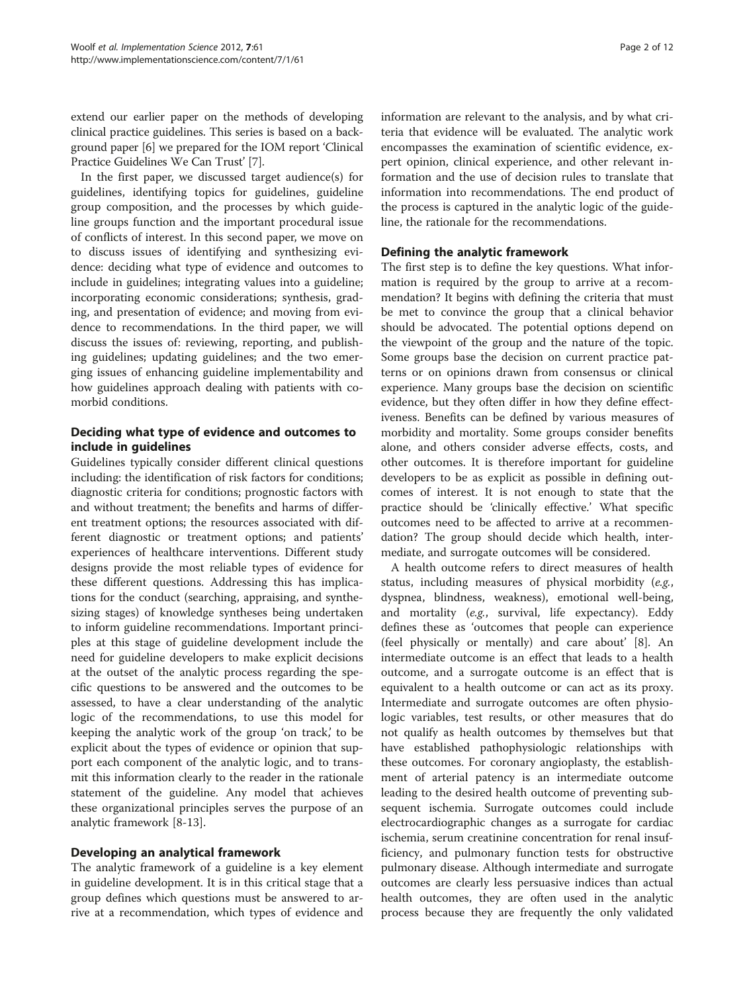extend our earlier paper on the methods of developing clinical practice guidelines. This series is based on a background paper [[6](#page-9-0)] we prepared for the IOM report 'Clinical Practice Guidelines We Can Trust' [[7](#page-9-0)].

In the first paper, we discussed target audience(s) for guidelines, identifying topics for guidelines, guideline group composition, and the processes by which guideline groups function and the important procedural issue of conflicts of interest. In this second paper, we move on to discuss issues of identifying and synthesizing evidence: deciding what type of evidence and outcomes to include in guidelines; integrating values into a guideline; incorporating economic considerations; synthesis, grading, and presentation of evidence; and moving from evidence to recommendations. In the third paper, we will discuss the issues of: reviewing, reporting, and publishing guidelines; updating guidelines; and the two emerging issues of enhancing guideline implementability and how guidelines approach dealing with patients with comorbid conditions.

# Deciding what type of evidence and outcomes to include in guidelines

Guidelines typically consider different clinical questions including: the identification of risk factors for conditions; diagnostic criteria for conditions; prognostic factors with and without treatment; the benefits and harms of different treatment options; the resources associated with different diagnostic or treatment options; and patients' experiences of healthcare interventions. Different study designs provide the most reliable types of evidence for these different questions. Addressing this has implications for the conduct (searching, appraising, and synthesizing stages) of knowledge syntheses being undertaken to inform guideline recommendations. Important principles at this stage of guideline development include the need for guideline developers to make explicit decisions at the outset of the analytic process regarding the specific questions to be answered and the outcomes to be assessed, to have a clear understanding of the analytic logic of the recommendations, to use this model for keeping the analytic work of the group 'on track,' to be explicit about the types of evidence or opinion that support each component of the analytic logic, and to transmit this information clearly to the reader in the rationale statement of the guideline. Any model that achieves these organizational principles serves the purpose of an analytic framework [\[8](#page-9-0)-[13](#page-10-0)].

# Developing an analytical framework

The analytic framework of a guideline is a key element in guideline development. It is in this critical stage that a group defines which questions must be answered to arrive at a recommendation, which types of evidence and information are relevant to the analysis, and by what criteria that evidence will be evaluated. The analytic work encompasses the examination of scientific evidence, expert opinion, clinical experience, and other relevant information and the use of decision rules to translate that information into recommendations. The end product of the process is captured in the analytic logic of the guideline, the rationale for the recommendations.

# Defining the analytic framework

The first step is to define the key questions. What information is required by the group to arrive at a recommendation? It begins with defining the criteria that must be met to convince the group that a clinical behavior should be advocated. The potential options depend on the viewpoint of the group and the nature of the topic. Some groups base the decision on current practice patterns or on opinions drawn from consensus or clinical experience. Many groups base the decision on scientific evidence, but they often differ in how they define effectiveness. Benefits can be defined by various measures of morbidity and mortality. Some groups consider benefits alone, and others consider adverse effects, costs, and other outcomes. It is therefore important for guideline developers to be as explicit as possible in defining outcomes of interest. It is not enough to state that the practice should be 'clinically effective.' What specific outcomes need to be affected to arrive at a recommendation? The group should decide which health, intermediate, and surrogate outcomes will be considered.

A health outcome refers to direct measures of health status, including measures of physical morbidity (e.g., dyspnea, blindness, weakness), emotional well-being, and mortality (e.g., survival, life expectancy). Eddy defines these as 'outcomes that people can experience (feel physically or mentally) and care about' [\[8\]](#page-9-0). An intermediate outcome is an effect that leads to a health outcome, and a surrogate outcome is an effect that is equivalent to a health outcome or can act as its proxy. Intermediate and surrogate outcomes are often physiologic variables, test results, or other measures that do not qualify as health outcomes by themselves but that have established pathophysiologic relationships with these outcomes. For coronary angioplasty, the establishment of arterial patency is an intermediate outcome leading to the desired health outcome of preventing subsequent ischemia. Surrogate outcomes could include electrocardiographic changes as a surrogate for cardiac ischemia, serum creatinine concentration for renal insufficiency, and pulmonary function tests for obstructive pulmonary disease. Although intermediate and surrogate outcomes are clearly less persuasive indices than actual health outcomes, they are often used in the analytic process because they are frequently the only validated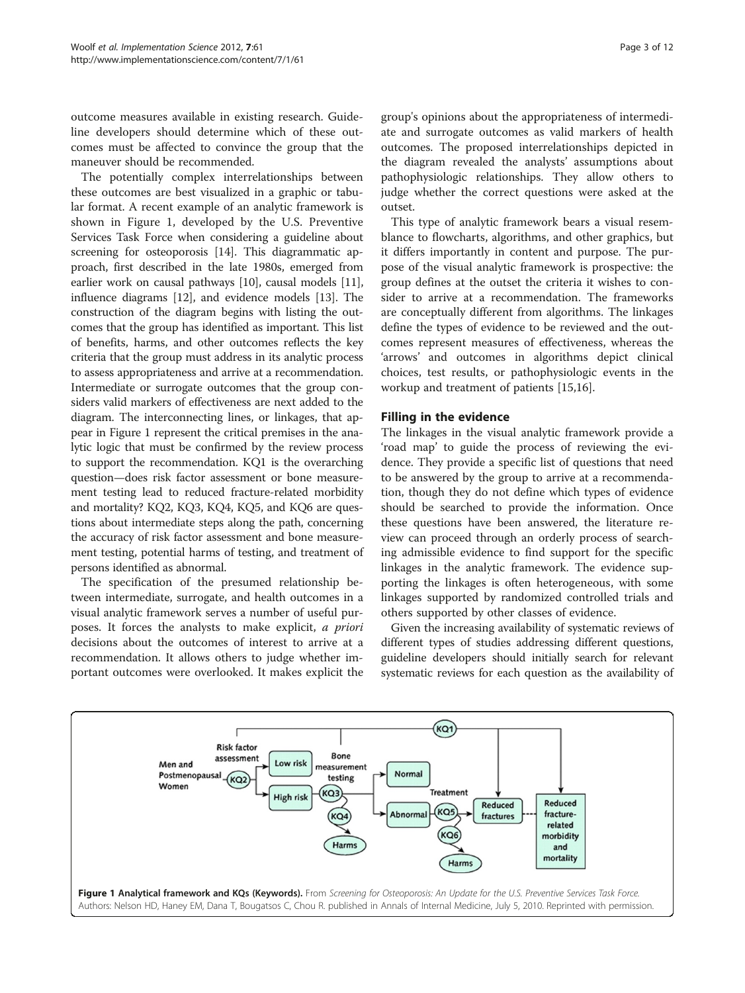outcome measures available in existing research. Guideline developers should determine which of these outcomes must be affected to convince the group that the maneuver should be recommended.

The potentially complex interrelationships between these outcomes are best visualized in a graphic or tabular format. A recent example of an analytic framework is shown in Figure 1, developed by the U.S. Preventive Services Task Force when considering a guideline about screening for osteoporosis [[14](#page-10-0)]. This diagrammatic approach, first described in the late 1980s, emerged from earlier work on causal pathways [\[10\]](#page-10-0), causal models [[11](#page-10-0)], influence diagrams [\[12](#page-10-0)], and evidence models [\[13\]](#page-10-0). The construction of the diagram begins with listing the outcomes that the group has identified as important. This list of benefits, harms, and other outcomes reflects the key criteria that the group must address in its analytic process to assess appropriateness and arrive at a recommendation. Intermediate or surrogate outcomes that the group considers valid markers of effectiveness are next added to the diagram. The interconnecting lines, or linkages, that appear in Figure 1 represent the critical premises in the analytic logic that must be confirmed by the review process to support the recommendation. KQ1 is the overarching question—does risk factor assessment or bone measurement testing lead to reduced fracture-related morbidity and mortality? KQ2, KQ3, KQ4, KQ5, and KQ6 are questions about intermediate steps along the path, concerning the accuracy of risk factor assessment and bone measurement testing, potential harms of testing, and treatment of persons identified as abnormal.

The specification of the presumed relationship between intermediate, surrogate, and health outcomes in a visual analytic framework serves a number of useful purposes. It forces the analysts to make explicit, a priori decisions about the outcomes of interest to arrive at a recommendation. It allows others to judge whether important outcomes were overlooked. It makes explicit the

group's opinions about the appropriateness of intermediate and surrogate outcomes as valid markers of health outcomes. The proposed interrelationships depicted in the diagram revealed the analysts' assumptions about pathophysiologic relationships. They allow others to judge whether the correct questions were asked at the outset.

This type of analytic framework bears a visual resemblance to flowcharts, algorithms, and other graphics, but it differs importantly in content and purpose. The purpose of the visual analytic framework is prospective: the group defines at the outset the criteria it wishes to consider to arrive at a recommendation. The frameworks are conceptually different from algorithms. The linkages define the types of evidence to be reviewed and the outcomes represent measures of effectiveness, whereas the 'arrows' and outcomes in algorithms depict clinical choices, test results, or pathophysiologic events in the workup and treatment of patients [[15,16\]](#page-10-0).

## Filling in the evidence

The linkages in the visual analytic framework provide a 'road map' to guide the process of reviewing the evidence. They provide a specific list of questions that need to be answered by the group to arrive at a recommendation, though they do not define which types of evidence should be searched to provide the information. Once these questions have been answered, the literature review can proceed through an orderly process of searching admissible evidence to find support for the specific linkages in the analytic framework. The evidence supporting the linkages is often heterogeneous, with some linkages supported by randomized controlled trials and others supported by other classes of evidence.

Given the increasing availability of systematic reviews of different types of studies addressing different questions, guideline developers should initially search for relevant systematic reviews for each question as the availability of

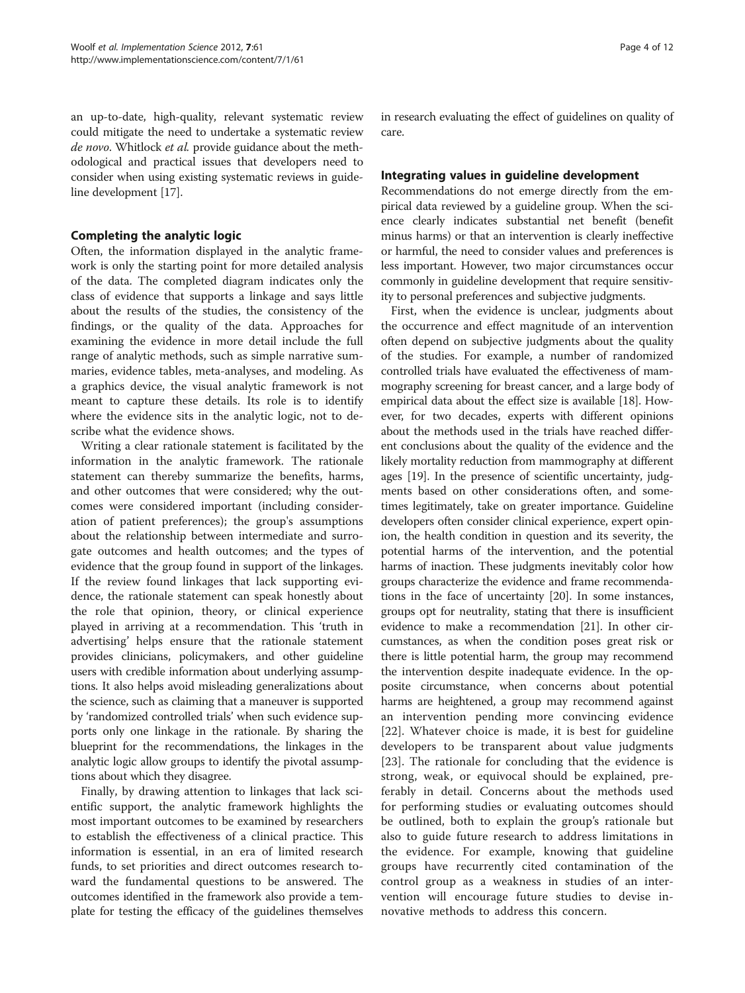an up-to-date, high-quality, relevant systematic review could mitigate the need to undertake a systematic review de novo. Whitlock et al. provide guidance about the methodological and practical issues that developers need to consider when using existing systematic reviews in guideline development [\[17\]](#page-10-0).

## Completing the analytic logic

Often, the information displayed in the analytic framework is only the starting point for more detailed analysis of the data. The completed diagram indicates only the class of evidence that supports a linkage and says little about the results of the studies, the consistency of the findings, or the quality of the data. Approaches for examining the evidence in more detail include the full range of analytic methods, such as simple narrative summaries, evidence tables, meta-analyses, and modeling. As a graphics device, the visual analytic framework is not meant to capture these details. Its role is to identify where the evidence sits in the analytic logic, not to describe what the evidence shows.

Writing a clear rationale statement is facilitated by the information in the analytic framework. The rationale statement can thereby summarize the benefits, harms, and other outcomes that were considered; why the outcomes were considered important (including consideration of patient preferences); the group's assumptions about the relationship between intermediate and surrogate outcomes and health outcomes; and the types of evidence that the group found in support of the linkages. If the review found linkages that lack supporting evidence, the rationale statement can speak honestly about the role that opinion, theory, or clinical experience played in arriving at a recommendation. This 'truth in advertising' helps ensure that the rationale statement provides clinicians, policymakers, and other guideline users with credible information about underlying assumptions. It also helps avoid misleading generalizations about the science, such as claiming that a maneuver is supported by 'randomized controlled trials' when such evidence supports only one linkage in the rationale. By sharing the blueprint for the recommendations, the linkages in the analytic logic allow groups to identify the pivotal assumptions about which they disagree.

Finally, by drawing attention to linkages that lack scientific support, the analytic framework highlights the most important outcomes to be examined by researchers to establish the effectiveness of a clinical practice. This information is essential, in an era of limited research funds, to set priorities and direct outcomes research toward the fundamental questions to be answered. The outcomes identified in the framework also provide a template for testing the efficacy of the guidelines themselves in research evaluating the effect of guidelines on quality of care.

## Integrating values in guideline development

Recommendations do not emerge directly from the empirical data reviewed by a guideline group. When the science clearly indicates substantial net benefit (benefit minus harms) or that an intervention is clearly ineffective or harmful, the need to consider values and preferences is less important. However, two major circumstances occur commonly in guideline development that require sensitivity to personal preferences and subjective judgments.

First, when the evidence is unclear, judgments about the occurrence and effect magnitude of an intervention often depend on subjective judgments about the quality of the studies. For example, a number of randomized controlled trials have evaluated the effectiveness of mammography screening for breast cancer, and a large body of empirical data about the effect size is available [[18\]](#page-10-0). However, for two decades, experts with different opinions about the methods used in the trials have reached different conclusions about the quality of the evidence and the likely mortality reduction from mammography at different ages [[19](#page-10-0)]. In the presence of scientific uncertainty, judgments based on other considerations often, and sometimes legitimately, take on greater importance. Guideline developers often consider clinical experience, expert opinion, the health condition in question and its severity, the potential harms of the intervention, and the potential harms of inaction. These judgments inevitably color how groups characterize the evidence and frame recommendations in the face of uncertainty [\[20](#page-10-0)]. In some instances, groups opt for neutrality, stating that there is insufficient evidence to make a recommendation [\[21\]](#page-10-0). In other circumstances, as when the condition poses great risk or there is little potential harm, the group may recommend the intervention despite inadequate evidence. In the opposite circumstance, when concerns about potential harms are heightened, a group may recommend against an intervention pending more convincing evidence [[22](#page-10-0)]. Whatever choice is made, it is best for guideline developers to be transparent about value judgments [[23\]](#page-10-0). The rationale for concluding that the evidence is strong, weak, or equivocal should be explained, preferably in detail. Concerns about the methods used for performing studies or evaluating outcomes should be outlined, both to explain the group's rationale but also to guide future research to address limitations in the evidence. For example, knowing that guideline groups have recurrently cited contamination of the control group as a weakness in studies of an intervention will encourage future studies to devise innovative methods to address this concern.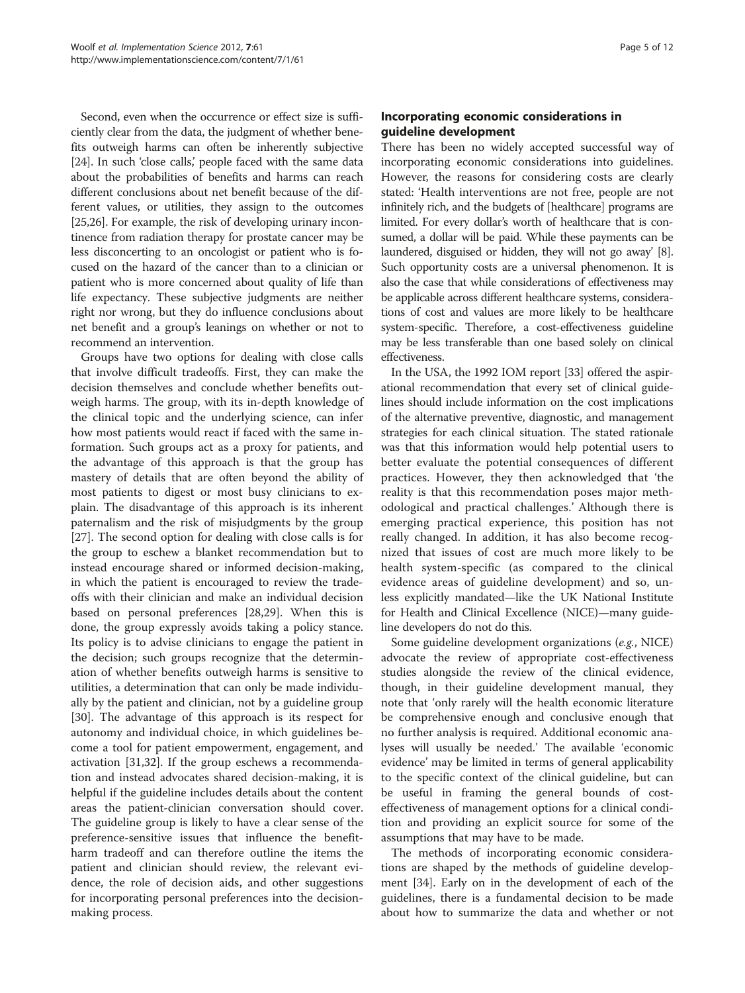Second, even when the occurrence or effect size is sufficiently clear from the data, the judgment of whether benefits outweigh harms can often be inherently subjective [[24](#page-10-0)]. In such 'close calls', people faced with the same data about the probabilities of benefits and harms can reach different conclusions about net benefit because of the different values, or utilities, they assign to the outcomes [[25,26](#page-10-0)]. For example, the risk of developing urinary incontinence from radiation therapy for prostate cancer may be less disconcerting to an oncologist or patient who is focused on the hazard of the cancer than to a clinician or patient who is more concerned about quality of life than life expectancy. These subjective judgments are neither right nor wrong, but they do influence conclusions about net benefit and a group's leanings on whether or not to recommend an intervention.

Groups have two options for dealing with close calls that involve difficult tradeoffs. First, they can make the decision themselves and conclude whether benefits outweigh harms. The group, with its in-depth knowledge of the clinical topic and the underlying science, can infer how most patients would react if faced with the same information. Such groups act as a proxy for patients, and the advantage of this approach is that the group has mastery of details that are often beyond the ability of most patients to digest or most busy clinicians to explain. The disadvantage of this approach is its inherent paternalism and the risk of misjudgments by the group [[27\]](#page-10-0). The second option for dealing with close calls is for the group to eschew a blanket recommendation but to instead encourage shared or informed decision-making, in which the patient is encouraged to review the tradeoffs with their clinician and make an individual decision based on personal preferences [[28,29\]](#page-10-0). When this is done, the group expressly avoids taking a policy stance. Its policy is to advise clinicians to engage the patient in the decision; such groups recognize that the determination of whether benefits outweigh harms is sensitive to utilities, a determination that can only be made individually by the patient and clinician, not by a guideline group [[30\]](#page-10-0). The advantage of this approach is its respect for autonomy and individual choice, in which guidelines become a tool for patient empowerment, engagement, and activation [\[31,32](#page-10-0)]. If the group eschews a recommendation and instead advocates shared decision-making, it is helpful if the guideline includes details about the content areas the patient-clinician conversation should cover. The guideline group is likely to have a clear sense of the preference-sensitive issues that influence the benefitharm tradeoff and can therefore outline the items the patient and clinician should review, the relevant evidence, the role of decision aids, and other suggestions for incorporating personal preferences into the decisionmaking process.

# Incorporating economic considerations in guideline development

There has been no widely accepted successful way of incorporating economic considerations into guidelines. However, the reasons for considering costs are clearly stated: 'Health interventions are not free, people are not infinitely rich, and the budgets of [healthcare] programs are limited. For every dollar's worth of healthcare that is consumed, a dollar will be paid. While these payments can be laundered, disguised or hidden, they will not go away' [[8](#page-9-0)]. Such opportunity costs are a universal phenomenon. It is also the case that while considerations of effectiveness may be applicable across different healthcare systems, considerations of cost and values are more likely to be healthcare system-specific. Therefore, a cost-effectiveness guideline may be less transferable than one based solely on clinical effectiveness.

In the USA, the 1992 IOM report [\[33\]](#page-10-0) offered the aspirational recommendation that every set of clinical guidelines should include information on the cost implications of the alternative preventive, diagnostic, and management strategies for each clinical situation. The stated rationale was that this information would help potential users to better evaluate the potential consequences of different practices. However, they then acknowledged that 'the reality is that this recommendation poses major methodological and practical challenges.' Although there is emerging practical experience, this position has not really changed. In addition, it has also become recognized that issues of cost are much more likely to be health system-specific (as compared to the clinical evidence areas of guideline development) and so, unless explicitly mandated—like the UK National Institute for Health and Clinical Excellence (NICE)—many guideline developers do not do this.

Some guideline development organizations (e.g., NICE) advocate the review of appropriate cost-effectiveness studies alongside the review of the clinical evidence, though, in their guideline development manual, they note that 'only rarely will the health economic literature be comprehensive enough and conclusive enough that no further analysis is required. Additional economic analyses will usually be needed.' The available 'economic evidence' may be limited in terms of general applicability to the specific context of the clinical guideline, but can be useful in framing the general bounds of costeffectiveness of management options for a clinical condition and providing an explicit source for some of the assumptions that may have to be made.

The methods of incorporating economic considerations are shaped by the methods of guideline development [\[34](#page-10-0)]. Early on in the development of each of the guidelines, there is a fundamental decision to be made about how to summarize the data and whether or not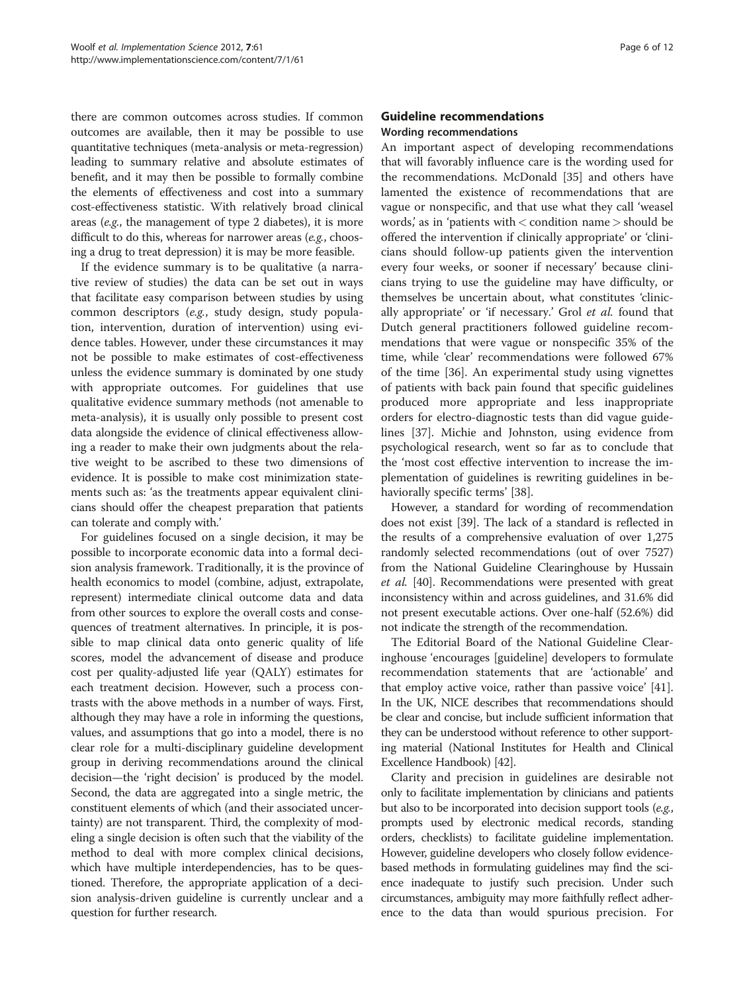there are common outcomes across studies. If common outcomes are available, then it may be possible to use quantitative techniques (meta-analysis or meta-regression) leading to summary relative and absolute estimates of benefit, and it may then be possible to formally combine the elements of effectiveness and cost into a summary cost-effectiveness statistic. With relatively broad clinical areas (e.g., the management of type 2 diabetes), it is more difficult to do this, whereas for narrower areas (e.g., choosing a drug to treat depression) it is may be more feasible.

If the evidence summary is to be qualitative (a narrative review of studies) the data can be set out in ways that facilitate easy comparison between studies by using common descriptors (e.g., study design, study population, intervention, duration of intervention) using evidence tables. However, under these circumstances it may not be possible to make estimates of cost-effectiveness unless the evidence summary is dominated by one study with appropriate outcomes. For guidelines that use qualitative evidence summary methods (not amenable to meta-analysis), it is usually only possible to present cost data alongside the evidence of clinical effectiveness allowing a reader to make their own judgments about the relative weight to be ascribed to these two dimensions of evidence. It is possible to make cost minimization statements such as: 'as the treatments appear equivalent clinicians should offer the cheapest preparation that patients can tolerate and comply with.'

For guidelines focused on a single decision, it may be possible to incorporate economic data into a formal decision analysis framework. Traditionally, it is the province of health economics to model (combine, adjust, extrapolate, represent) intermediate clinical outcome data and data from other sources to explore the overall costs and consequences of treatment alternatives. In principle, it is possible to map clinical data onto generic quality of life scores, model the advancement of disease and produce cost per quality-adjusted life year (QALY) estimates for each treatment decision. However, such a process contrasts with the above methods in a number of ways. First, although they may have a role in informing the questions, values, and assumptions that go into a model, there is no clear role for a multi-disciplinary guideline development group in deriving recommendations around the clinical decision—the 'right decision' is produced by the model. Second, the data are aggregated into a single metric, the constituent elements of which (and their associated uncertainty) are not transparent. Third, the complexity of modeling a single decision is often such that the viability of the method to deal with more complex clinical decisions, which have multiple interdependencies, has to be questioned. Therefore, the appropriate application of a decision analysis-driven guideline is currently unclear and a question for further research.

#### Guideline recommendations Wording recommendations

An important aspect of developing recommendations that will favorably influence care is the wording used for the recommendations. McDonald [\[35\]](#page-10-0) and others have lamented the existence of recommendations that are vague or nonspecific, and that use what they call 'weasel words,' as in 'patients with < condition name > should be offered the intervention if clinically appropriate' or 'clinicians should follow-up patients given the intervention every four weeks, or sooner if necessary' because clinicians trying to use the guideline may have difficulty, or themselves be uncertain about, what constitutes 'clinically appropriate' or 'if necessary.' Grol et al. found that Dutch general practitioners followed guideline recommendations that were vague or nonspecific 35% of the time, while 'clear' recommendations were followed 67% of the time [[36\]](#page-10-0). An experimental study using vignettes of patients with back pain found that specific guidelines produced more appropriate and less inappropriate orders for electro-diagnostic tests than did vague guidelines [\[37\]](#page-10-0). Michie and Johnston, using evidence from psychological research, went so far as to conclude that the 'most cost effective intervention to increase the implementation of guidelines is rewriting guidelines in behaviorally specific terms' [[38](#page-10-0)].

However, a standard for wording of recommendation does not exist [\[39\]](#page-10-0). The lack of a standard is reflected in the results of a comprehensive evaluation of over 1,275 randomly selected recommendations (out of over 7527) from the National Guideline Clearinghouse by Hussain et al. [\[40\]](#page-10-0). Recommendations were presented with great inconsistency within and across guidelines, and 31.6% did not present executable actions. Over one-half (52.6%) did not indicate the strength of the recommendation.

The Editorial Board of the National Guideline Clearinghouse 'encourages [guideline] developers to formulate recommendation statements that are 'actionable' and that employ active voice, rather than passive voice' [\[41](#page-10-0)]. In the UK, NICE describes that recommendations should be clear and concise, but include sufficient information that they can be understood without reference to other supporting material (National Institutes for Health and Clinical Excellence Handbook) [\[42\]](#page-10-0).

Clarity and precision in guidelines are desirable not only to facilitate implementation by clinicians and patients but also to be incorporated into decision support tools (e.g., prompts used by electronic medical records, standing orders, checklists) to facilitate guideline implementation. However, guideline developers who closely follow evidencebased methods in formulating guidelines may find the science inadequate to justify such precision. Under such circumstances, ambiguity may more faithfully reflect adherence to the data than would spurious precision. For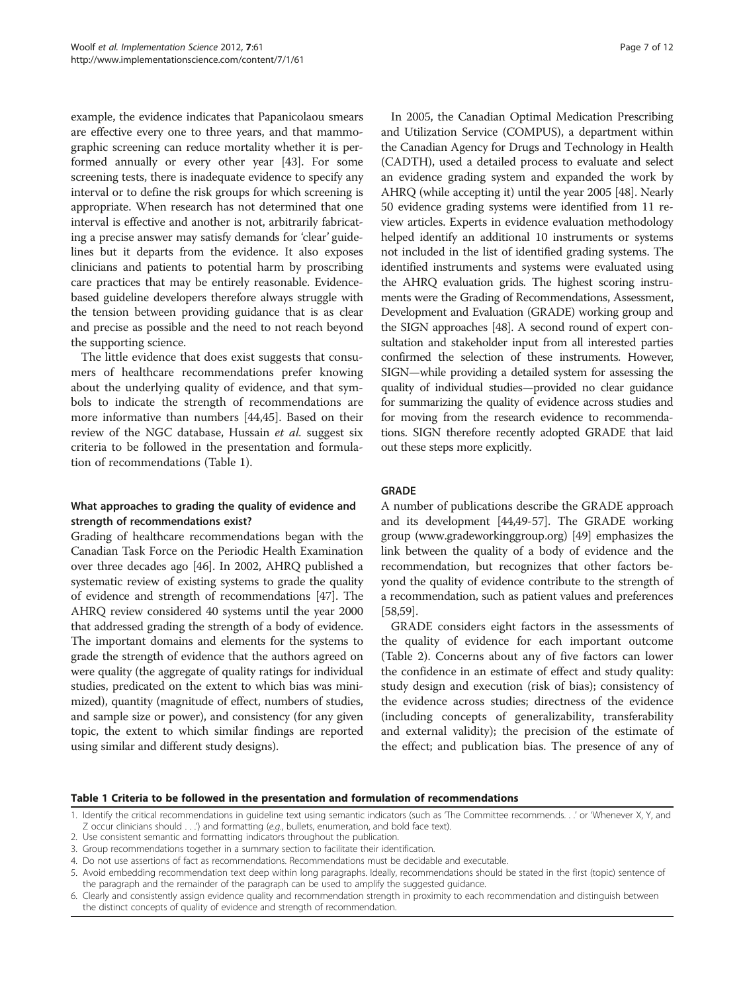example, the evidence indicates that Papanicolaou smears are effective every one to three years, and that mammographic screening can reduce mortality whether it is performed annually or every other year [\[43\]](#page-10-0). For some screening tests, there is inadequate evidence to specify any interval or to define the risk groups for which screening is appropriate. When research has not determined that one interval is effective and another is not, arbitrarily fabricating a precise answer may satisfy demands for 'clear' guidelines but it departs from the evidence. It also exposes clinicians and patients to potential harm by proscribing care practices that may be entirely reasonable. Evidencebased guideline developers therefore always struggle with the tension between providing guidance that is as clear and precise as possible and the need to not reach beyond the supporting science.

The little evidence that does exist suggests that consumers of healthcare recommendations prefer knowing about the underlying quality of evidence, and that symbols to indicate the strength of recommendations are more informative than numbers [\[44,45\]](#page-10-0). Based on their review of the NGC database, Hussain et al. suggest six criteria to be followed in the presentation and formulation of recommendations (Table 1).

# What approaches to grading the quality of evidence and strength of recommendations exist?

Grading of healthcare recommendations began with the Canadian Task Force on the Periodic Health Examination over three decades ago [\[46\]](#page-10-0). In 2002, AHRQ published a systematic review of existing systems to grade the quality of evidence and strength of recommendations [[47](#page-10-0)]. The AHRQ review considered 40 systems until the year 2000 that addressed grading the strength of a body of evidence. The important domains and elements for the systems to grade the strength of evidence that the authors agreed on were quality (the aggregate of quality ratings for individual studies, predicated on the extent to which bias was minimized), quantity (magnitude of effect, numbers of studies, and sample size or power), and consistency (for any given topic, the extent to which similar findings are reported using similar and different study designs).

In 2005, the Canadian Optimal Medication Prescribing and Utilization Service (COMPUS), a department within the Canadian Agency for Drugs and Technology in Health (CADTH), used a detailed process to evaluate and select an evidence grading system and expanded the work by AHRQ (while accepting it) until the year 2005 [[48](#page-10-0)]. Nearly 50 evidence grading systems were identified from 11 review articles. Experts in evidence evaluation methodology helped identify an additional 10 instruments or systems not included in the list of identified grading systems. The identified instruments and systems were evaluated using the AHRQ evaluation grids. The highest scoring instruments were the Grading of Recommendations, Assessment, Development and Evaluation (GRADE) working group and the SIGN approaches [\[48\]](#page-10-0). A second round of expert consultation and stakeholder input from all interested parties confirmed the selection of these instruments. However, SIGN—while providing a detailed system for assessing the quality of individual studies—provided no clear guidance for summarizing the quality of evidence across studies and for moving from the research evidence to recommendations. SIGN therefore recently adopted GRADE that laid out these steps more explicitly.

## GRADE

A number of publications describe the GRADE approach and its development [[44,49-57](#page-10-0)]. The GRADE working group [\(www.gradeworkinggroup.org\)](http://www.gradeworkinggroup.org) [\[49](#page-10-0)] emphasizes the link between the quality of a body of evidence and the recommendation, but recognizes that other factors beyond the quality of evidence contribute to the strength of a recommendation, such as patient values and preferences [[58](#page-10-0),[59](#page-10-0)].

GRADE considers eight factors in the assessments of the quality of evidence for each important outcome (Table [2\)](#page-7-0). Concerns about any of five factors can lower the confidence in an estimate of effect and study quality: study design and execution (risk of bias); consistency of the evidence across studies; directness of the evidence (including concepts of generalizability, transferability and external validity); the precision of the estimate of the effect; and publication bias. The presence of any of

#### Table 1 Criteria to be followed in the presentation and formulation of recommendations

Identify the critical recommendations in guideline text using semantic indicators (such as The Committee recommends. . .' or 'Whenever X, Y, and Z occur clinicians should . . .') and formatting (e.g., bullets, enumeration, and bold face text).

<sup>2.</sup> Use consistent semantic and formatting indicators throughout the publication.

<sup>3.</sup> Group recommendations together in a summary section to facilitate their identification.

<sup>4.</sup> Do not use assertions of fact as recommendations. Recommendations must be decidable and executable.

<sup>5.</sup> Avoid embedding recommendation text deep within long paragraphs. Ideally, recommendations should be stated in the first (topic) sentence of the paragraph and the remainder of the paragraph can be used to amplify the suggested guidance.

<sup>6.</sup> Clearly and consistently assign evidence quality and recommendation strength in proximity to each recommendation and distinguish between the distinct concepts of quality of evidence and strength of recommendation.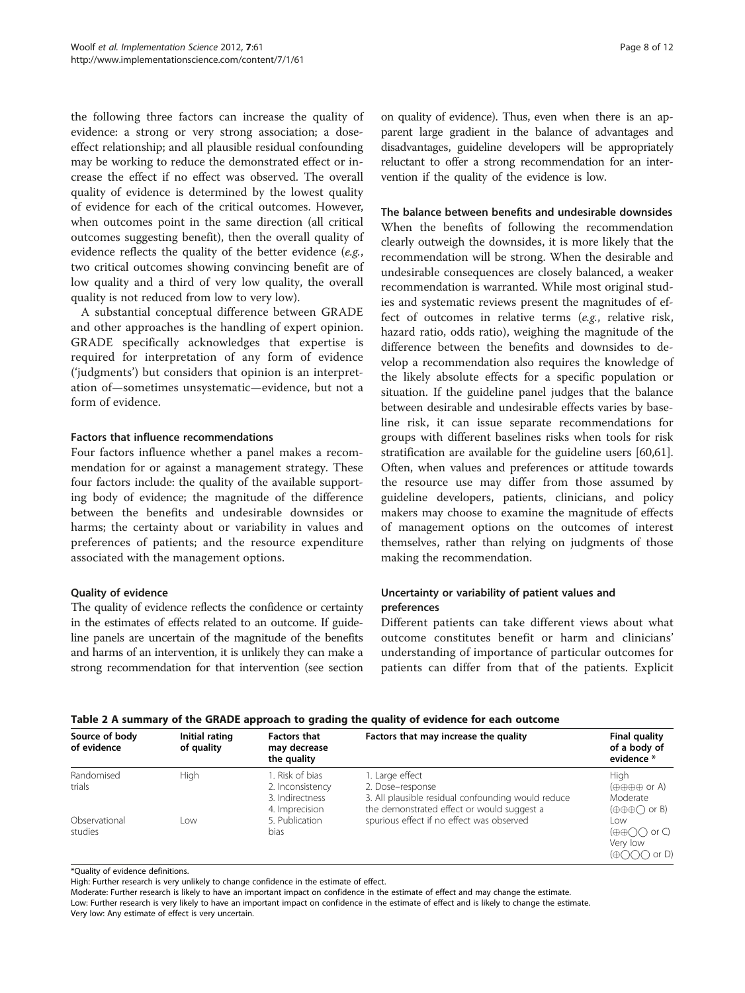<span id="page-7-0"></span>the following three factors can increase the quality of evidence: a strong or very strong association; a doseeffect relationship; and all plausible residual confounding may be working to reduce the demonstrated effect or increase the effect if no effect was observed. The overall quality of evidence is determined by the lowest quality of evidence for each of the critical outcomes. However, when outcomes point in the same direction (all critical outcomes suggesting benefit), then the overall quality of evidence reflects the quality of the better evidence (e.g., two critical outcomes showing convincing benefit are of low quality and a third of very low quality, the overall quality is not reduced from low to very low).

A substantial conceptual difference between GRADE and other approaches is the handling of expert opinion. GRADE specifically acknowledges that expertise is required for interpretation of any form of evidence ('judgments') but considers that opinion is an interpretation of—sometimes unsystematic—evidence, but not a form of evidence.

#### Factors that influence recommendations

Four factors influence whether a panel makes a recommendation for or against a management strategy. These four factors include: the quality of the available supporting body of evidence; the magnitude of the difference between the benefits and undesirable downsides or harms; the certainty about or variability in values and preferences of patients; and the resource expenditure associated with the management options.

#### Quality of evidence

The quality of evidence reflects the confidence or certainty in the estimates of effects related to an outcome. If guideline panels are uncertain of the magnitude of the benefits and harms of an intervention, it is unlikely they can make a strong recommendation for that intervention (see section on quality of evidence). Thus, even when there is an apparent large gradient in the balance of advantages and disadvantages, guideline developers will be appropriately reluctant to offer a strong recommendation for an intervention if the quality of the evidence is low.

#### The balance between benefits and undesirable downsides

When the benefits of following the recommendation clearly outweigh the downsides, it is more likely that the recommendation will be strong. When the desirable and undesirable consequences are closely balanced, a weaker recommendation is warranted. While most original studies and systematic reviews present the magnitudes of effect of outcomes in relative terms (e.g., relative risk, hazard ratio, odds ratio), weighing the magnitude of the difference between the benefits and downsides to develop a recommendation also requires the knowledge of the likely absolute effects for a specific population or situation. If the guideline panel judges that the balance between desirable and undesirable effects varies by baseline risk, it can issue separate recommendations for groups with different baselines risks when tools for risk stratification are available for the guideline users [\[60](#page-10-0)[,61](#page-11-0)]. Often, when values and preferences or attitude towards the resource use may differ from those assumed by guideline developers, patients, clinicians, and policy makers may choose to examine the magnitude of effects of management options on the outcomes of interest themselves, rather than relying on judgments of those making the recommendation.

## Uncertainty or variability of patient values and preferences

Different patients can take different views about what outcome constitutes benefit or harm and clinicians' understanding of importance of particular outcomes for patients can differ from that of the patients. Explicit

|  | Table 2 A summary of the GRADE approach to grading the quality of evidence for each outcome |  |  |  |
|--|---------------------------------------------------------------------------------------------|--|--|--|
|--|---------------------------------------------------------------------------------------------|--|--|--|

| Source of body<br>of evidence | Initial rating<br>of quality | <b>Factors that</b><br>may decrease<br>the quality                       | Factors that may increase the quality                                                                                                   | <b>Final quality</b><br>of a body of<br>evidence *                                                         |
|-------------------------------|------------------------------|--------------------------------------------------------------------------|-----------------------------------------------------------------------------------------------------------------------------------------|------------------------------------------------------------------------------------------------------------|
| Randomised<br>trials          | High                         | 1. Risk of bias<br>2. Inconsistency<br>3. Indirectness<br>4. Imprecision | 1. Large effect<br>2. Dose-response<br>3. All plausible residual confounding would reduce<br>the demonstrated effect or would suggest a | High<br>$(\oplus \oplus \oplus \oplus \text{ or } A)$<br>Moderate<br>$(\oplus \oplus \oplus \bigcap$ or B) |
| Observational<br>studies      | l ow                         | 5. Publication<br>bias                                                   | spurious effect if no effect was observed                                                                                               | l ow<br>$(\oplus \oplus \bigcap \bigcap$ or C)<br>Very low<br>or D)<br>(⊕റററ                               |

\*Quality of evidence definitions.

High: Further research is very unlikely to change confidence in the estimate of effect.

Moderate: Further research is likely to have an important impact on confidence in the estimate of effect and may change the estimate.

Low: Further research is very likely to have an important impact on confidence in the estimate of effect and is likely to change the estimate. Very low: Any estimate of effect is very uncertain.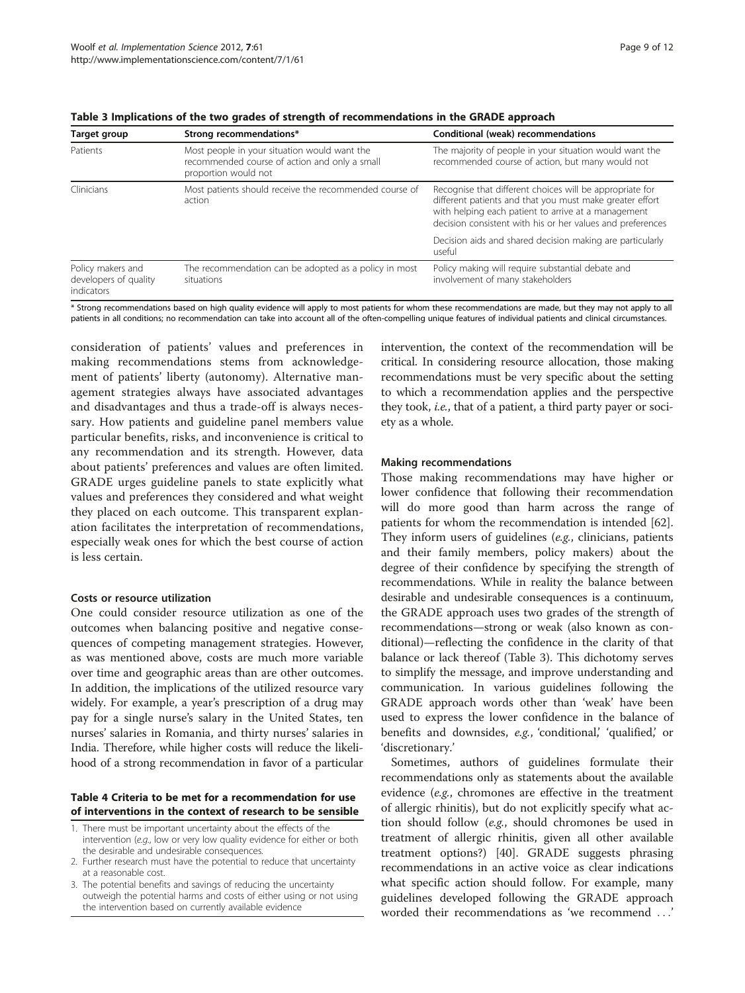| Target group                                             | Strong recommendations*                                                                                               | Conditional (weak) recommendations                                                                                                                                                                                                        |  |
|----------------------------------------------------------|-----------------------------------------------------------------------------------------------------------------------|-------------------------------------------------------------------------------------------------------------------------------------------------------------------------------------------------------------------------------------------|--|
| Patients                                                 | Most people in your situation would want the<br>recommended course of action and only a small<br>proportion would not | The majority of people in your situation would want the<br>recommended course of action, but many would not                                                                                                                               |  |
| Clinicians                                               | Most patients should receive the recommended course of<br>action                                                      | Recognise that different choices will be appropriate for<br>different patients and that you must make greater effort<br>with helping each patient to arrive at a management<br>decision consistent with his or her values and preferences |  |
|                                                          |                                                                                                                       | Decision aids and shared decision making are particularly<br>useful                                                                                                                                                                       |  |
| Policy makers and<br>developers of quality<br>indicators | The recommendation can be adopted as a policy in most<br>situations                                                   | Policy making will require substantial debate and<br>involvement of many stakeholders                                                                                                                                                     |  |

<span id="page-8-0"></span>Table 3 Implications of the two grades of strength of recommendations in the GRADE approach

\* Strong recommendations based on high quality evidence will apply to most patients for whom these recommendations are made, but they may not apply to all patients in all conditions; no recommendation can take into account all of the often-compelling unique features of individual patients and clinical circumstances.

consideration of patients' values and preferences in making recommendations stems from acknowledgement of patients' liberty (autonomy). Alternative management strategies always have associated advantages and disadvantages and thus a trade-off is always necessary. How patients and guideline panel members value particular benefits, risks, and inconvenience is critical to any recommendation and its strength. However, data about patients' preferences and values are often limited. GRADE urges guideline panels to state explicitly what values and preferences they considered and what weight they placed on each outcome. This transparent explanation facilitates the interpretation of recommendations, especially weak ones for which the best course of action is less certain.

#### Costs or resource utilization

One could consider resource utilization as one of the outcomes when balancing positive and negative consequences of competing management strategies. However, as was mentioned above, costs are much more variable over time and geographic areas than are other outcomes. In addition, the implications of the utilized resource vary widely. For example, a year's prescription of a drug may pay for a single nurse's salary in the United States, ten nurses' salaries in Romania, and thirty nurses' salaries in India. Therefore, while higher costs will reduce the likelihood of a strong recommendation in favor of a particular

## Table 4 Criteria to be met for a recommendation for use of interventions in the context of research to be sensible

1. There must be important uncertainty about the effects of the intervention (e.g., low or very low quality evidence for either or both the desirable and undesirable consequences.

2. Further research must have the potential to reduce that uncertainty at a reasonable cost.

3. The potential benefits and savings of reducing the uncertainty outweigh the potential harms and costs of either using or not using the intervention based on currently available evidence

intervention, the context of the recommendation will be critical. In considering resource allocation, those making recommendations must be very specific about the setting to which a recommendation applies and the perspective they took, *i.e.*, that of a patient, a third party payer or society as a whole.

#### Making recommendations

Those making recommendations may have higher or lower confidence that following their recommendation will do more good than harm across the range of patients for whom the recommendation is intended [\[62](#page-11-0)]. They inform users of guidelines (e.g., clinicians, patients and their family members, policy makers) about the degree of their confidence by specifying the strength of recommendations. While in reality the balance between desirable and undesirable consequences is a continuum, the GRADE approach uses two grades of the strength of recommendations—strong or weak (also known as conditional)—reflecting the confidence in the clarity of that balance or lack thereof (Table 3). This dichotomy serves to simplify the message, and improve understanding and communication. In various guidelines following the GRADE approach words other than 'weak' have been used to express the lower confidence in the balance of benefits and downsides, e.g., 'conditional,' 'qualified,' or 'discretionary.'

Sometimes, authors of guidelines formulate their recommendations only as statements about the available evidence (e.g., chromones are effective in the treatment of allergic rhinitis), but do not explicitly specify what action should follow (e.g., should chromones be used in treatment of allergic rhinitis, given all other available treatment options?) [[40](#page-10-0)]. GRADE suggests phrasing recommendations in an active voice as clear indications what specific action should follow. For example, many guidelines developed following the GRADE approach worded their recommendations as 'we recommend ...'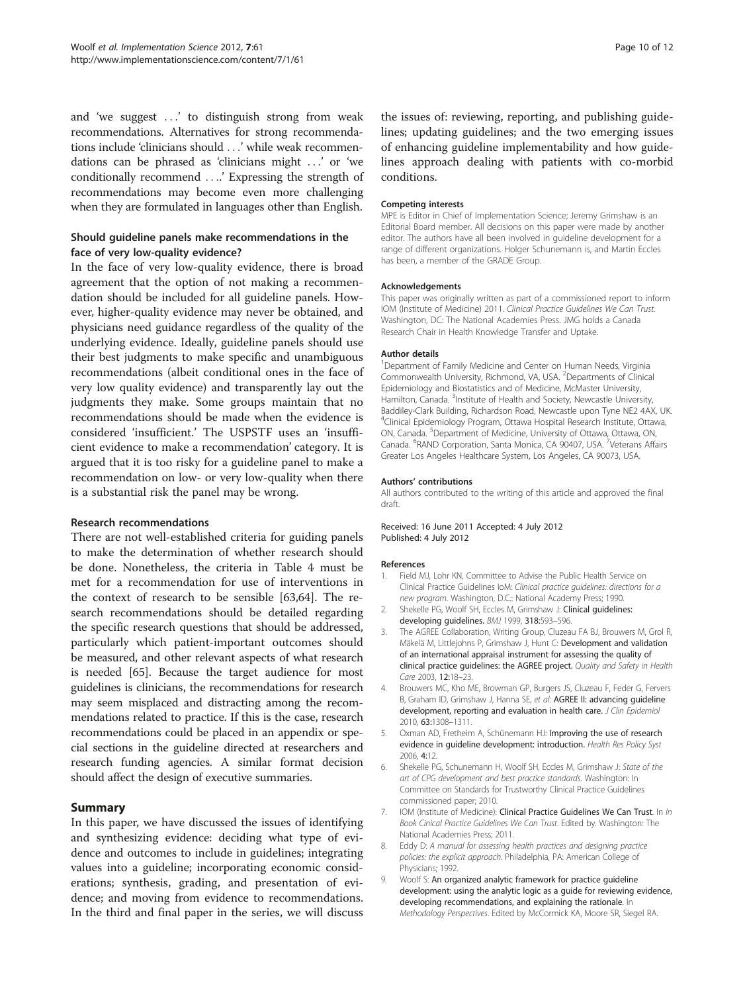<span id="page-9-0"></span>and 'we suggest ...' to distinguish strong from weak recommendations. Alternatives for strong recommendations include 'clinicians should ...' while weak recommendations can be phrased as 'clinicians might ...' or 'we conditionally recommend ....' Expressing the strength of recommendations may become even more challenging when they are formulated in languages other than English.

## Should guideline panels make recommendations in the face of very low-quality evidence?

In the face of very low-quality evidence, there is broad agreement that the option of not making a recommendation should be included for all guideline panels. However, higher-quality evidence may never be obtained, and physicians need guidance regardless of the quality of the underlying evidence. Ideally, guideline panels should use their best judgments to make specific and unambiguous recommendations (albeit conditional ones in the face of very low quality evidence) and transparently lay out the judgments they make. Some groups maintain that no recommendations should be made when the evidence is considered 'insufficient.' The USPSTF uses an 'insufficient evidence to make a recommendation' category. It is argued that it is too risky for a guideline panel to make a recommendation on low- or very low-quality when there is a substantial risk the panel may be wrong.

#### Research recommendations

There are not well-established criteria for guiding panels to make the determination of whether research should be done. Nonetheless, the criteria in Table [4](#page-8-0) must be met for a recommendation for use of interventions in the context of research to be sensible [[63](#page-11-0),[64](#page-11-0)]. The research recommendations should be detailed regarding the specific research questions that should be addressed, particularly which patient-important outcomes should be measured, and other relevant aspects of what research is needed [\[65\]](#page-11-0). Because the target audience for most guidelines is clinicians, the recommendations for research may seem misplaced and distracting among the recommendations related to practice. If this is the case, research recommendations could be placed in an appendix or special sections in the guideline directed at researchers and research funding agencies. A similar format decision should affect the design of executive summaries.

## Summary

In this paper, we have discussed the issues of identifying and synthesizing evidence: deciding what type of evidence and outcomes to include in guidelines; integrating values into a guideline; incorporating economic considerations; synthesis, grading, and presentation of evidence; and moving from evidence to recommendations. In the third and final paper in the series, we will discuss

the issues of: reviewing, reporting, and publishing guidelines; updating guidelines; and the two emerging issues of enhancing guideline implementability and how guidelines approach dealing with patients with co-morbid conditions.

#### Competing interests

MPE is Editor in Chief of Implementation Science; Jeremy Grimshaw is an Editorial Board member. All decisions on this paper were made by another editor. The authors have all been involved in guideline development for a range of different organizations. Holger Schunemann is, and Martin Eccles has been, a member of the GRADE Group.

#### Acknowledgements

This paper was originally written as part of a commissioned report to inform IOM (Institute of Medicine) 2011. Clinical Practice Guidelines We Can Trust. Washington, DC: The National Academies Press. JMG holds a Canada Research Chair in Health Knowledge Transfer and Uptake.

#### Author details

<sup>1</sup>Department of Family Medicine and Center on Human Needs, Virginia Commonwealth University, Richmond, VA, USA. <sup>2</sup>Departments of Clinical Epidemiology and Biostatistics and of Medicine, McMaster University, Hamilton, Canada. <sup>3</sup>Institute of Health and Society, Newcastle University, Baddiley-Clark Building, Richardson Road, Newcastle upon Tyne NE2 4AX, UK. 4 Clinical Epidemiology Program, Ottawa Hospital Research Institute, Ottawa, ON, Canada. <sup>5</sup>Department of Medicine, University of Ottawa, Ottawa, ON, Canada. <sup>6</sup>RAND Corporation, Santa Monica, CA 90407, USA. <sup>7</sup>Veterans Affairs Greater Los Angeles Healthcare System, Los Angeles, CA 90073, USA.

#### Authors' contributions

All authors contributed to the writing of this article and approved the final draft.

Received: 16 June 2011 Accepted: 4 July 2012 Published: 4 July 2012

#### References

- 1. Field MJ, Lohr KN, Committee to Advise the Public Health Service on Clinical Practice Guidelines IoM: Clinical practice guidelines: directions for a new program. Washington, D.C.: National Academy Press; 1990.
- 2. Shekelle PG, Woolf SH, Eccles M, Grimshaw J: Clinical quidelines: developing guidelines. BMJ 1999, 318:593–596.
- 3. The AGREE Collaboration, Writing Group, Cluzeau FA BJ, Brouwers M, Grol R, Mäkelä M, Littlejohns P, Grimshaw J, Hunt C: Development and validation of an international appraisal instrument for assessing the quality of clinical practice guidelines: the AGREE project. Quality and Safety in Health Care 2003, 12:18–23.
- 4. Brouwers MC, Kho ME, Browman GP, Burgers JS, Cluzeau F, Feder G, Fervers B, Graham ID, Grimshaw J, Hanna SE, et al: AGREE II: advancing guideline development, reporting and evaluation in health care. J Clin Epidemiol 2010, 63:1308–1311.
- Oxman AD, Fretheim A, Schünemann HJ: Improving the use of research evidence in guideline development: introduction. Health Res Policy Syst 2006, 4:12.
- 6. Shekelle PG, Schunemann H, Woolf SH, Eccles M, Grimshaw J: State of the art of CPG development and best practice standards. Washington: In Committee on Standards for Trustworthy Clinical Practice Guidelines commissioned paper; 2010.
- 7. IOM (Institute of Medicine): Clinical Practice Guidelines We Can Trust. In In Book Cinical Practice Guidelines We Can Trust. Edited by. Washington: The National Academies Press; 2011.
- 8. Eddy D: A manual for assessing health practices and designing practice policies: the explicit approach. Philadelphia, PA: American College of Physicians; 1992.
- 9. Woolf S: An organized analytic framework for practice guideline development: using the analytic logic as a guide for reviewing evidence, developing recommendations, and explaining the rationale. In Methodology Perspectives. Edited by McCormick KA, Moore SR, Siegel RA.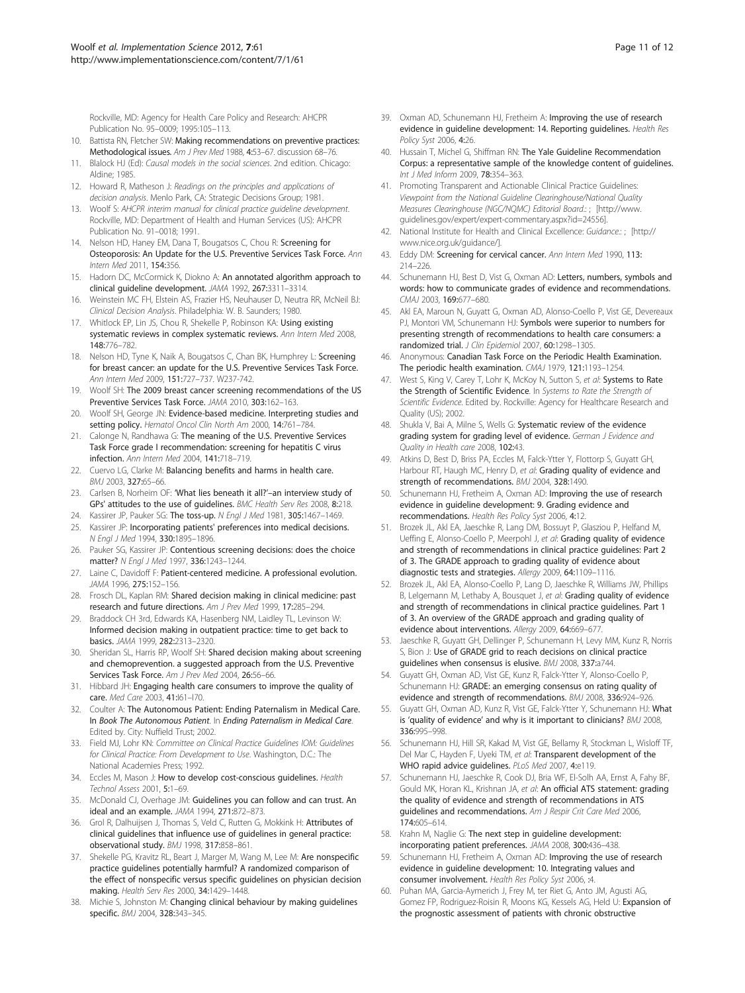<span id="page-10-0"></span>Rockville, MD: Agency for Health Care Policy and Research: AHCPR Publication No. 95–0009; 1995:105–113.

- 10. Battista RN, Fletcher SW: Making recommendations on preventive practices: Methodological issues. Am J Prev Med 1988, 4:53–67. discussion 68–76.
- 11. Blalock HJ (Ed): Causal models in the social sciences. 2nd edition. Chicago: Aldine; 1985.
- 12. Howard R, Matheson J: Readings on the principles and applications of decision analysis. Menlo Park, CA: Strategic Decisions Group; 1981.
- 13. Woolf S: AHCPR interim manual for clinical practice quideline development. Rockville, MD: Department of Health and Human Services (US): AHCPR Publication No. 91–0018; 1991.
- 14. Nelson HD, Haney EM, Dana T, Bougatsos C, Chou R: Screening for Osteoporosis: An Update for the U.S. Preventive Services Task Force. Ann Intern Med 2011, 154:356.
- 15. Hadorn DC, McCormick K, Diokno A: An annotated algorithm approach to clinical guideline development. JAMA 1992, 267:3311–3314.
- 16. Weinstein MC FH, Elstein AS, Frazier HS, Neuhauser D, Neutra RR, McNeil BJ: Clinical Decision Analysis. Philadelphia: W. B. Saunders; 1980.
- 17. Whitlock EP, Lin JS, Chou R, Shekelle P, Robinson KA: Using existing systematic reviews in complex systematic reviews. Ann Intern Med 2008, 148:776–782.
- 18. Nelson HD, Tyne K, Naik A, Bougatsos C, Chan BK, Humphrey L: Screening for breast cancer: an update for the U.S. Preventive Services Task Force. Ann Intern Med 2009, 151:727–737. W237-742.
- 19. Woolf SH: The 2009 breast cancer screening recommendations of the US Preventive Services Task Force. JAMA 2010, 303:162-163.
- 20. Woolf SH, George JN: Evidence-based medicine. Interpreting studies and setting policy. Hematol Oncol Clin North Am 2000, 14:761–784.
- 21. Calonge N, Randhawa G: The meaning of the U.S. Preventive Services Task Force grade I recommendation: screening for hepatitis C virus infection. Ann Intern Med 2004, 141:718–719.
- 22. Cuervo LG, Clarke M: Balancing benefits and harms in health care. BMJ 2003, 327:65-66
- 23. Carlsen B, Norheim OF: 'What lies beneath it all?'–an interview study of GPs' attitudes to the use of guidelines. BMC Health Serv Res 2008, 8:218.
- 24. Kassirer JP, Pauker SG: The toss-up. N Engl J Med 1981, 305:1467-1469. 25. Kassirer JP: Incorporating patients' preferences into medical decisions. N Engl J Med 1994, 330:1895–1896.
- 26. Pauker SG, Kassirer JP: Contentious screening decisions: does the choice matter? N Engl J Med 1997, 336:1243–1244.
- 27. Laine C, Davidoff F: Patient-centered medicine. A professional evolution. JAMA 1996, 275:152–156.
- 28. Frosch DL, Kaplan RM: Shared decision making in clinical medicine: past research and future directions. Am J Prev Med 1999, 17:285–294.
- 29. Braddock CH 3rd, Edwards KA, Hasenberg NM, Laidley TL, Levinson W: Informed decision making in outpatient practice: time to get back to basics. JAMA 1999, 282:2313–2320.
- 30. Sheridan SL, Harris RP, Woolf SH: Shared decision making about screening and chemoprevention. a suggested approach from the U.S. Preventive Services Task Force. Am J Prev Med 2004, 26:56-66.
- 31. Hibbard JH: Engaging health care consumers to improve the quality of care. Med Care 2003, 41:161-170.
- 32. Coulter A: The Autonomous Patient: Ending Paternalism in Medical Care. In Book The Autonomous Patient. In Ending Paternalism in Medical Care. Edited by. City: Nuffield Trust; 2002.
- 33. Field MJ, Lohr KN: Committee on Clinical Practice Guidelines IOM: Guidelines for Clinical Practice: From Development to Use. Washington, D.C.: The National Academies Press; 1992.
- 34. Eccles M, Mason J: How to develop cost-conscious guidelines. Health Technol Assess 2001, 5:1–69.
- McDonald CJ, Overhage JM: Guidelines you can follow and can trust. An ideal and an example. JAMA 1994, 271:872–873.
- 36. Grol R, Dalhuijsen J, Thomas S, Veld C, Rutten G, Mokkink H: Attributes of clinical guidelines that influence use of guidelines in general practice: observational study. BMJ 1998, 317:858–861.
- 37. Shekelle PG, Kravitz RL, Beart J, Marger M, Wang M, Lee M: Are nonspecific practice guidelines potentially harmful? A randomized comparison of the effect of nonspecific versus specific guidelines on physician decision making. Health Serv Res 2000, 34:1429–1448.
- 38. Michie S, Johnston M: Changing clinical behaviour by making guidelines specific. BMJ 2004, 328:343–345.
- 39. Oxman AD, Schunemann HJ, Fretheim A: Improving the use of research evidence in guideline development: 14. Reporting guidelines. Health Res Policy Syst 2006, 4:26.
- 40. Hussain T, Michel G, Shiffman RN: The Yale Guideline Recommendation Corpus: a representative sample of the knowledge content of guidelines. Int J Med Inform 2009, 78:354–363.
- 41. Promoting Transparent and Actionable Clinical Practice Guidelines: Viewpoint from the National Guideline Clearinghouse/National Quality Measures Clearinghouse (NGC/NQMC) Editorial Board.: ; [\[http://www.](http://www.guidelines.gov/expert/expert-commentary.aspx?id=24556) [guidelines.gov/expert/expert-commentary.aspx?id=24556](http://www.guidelines.gov/expert/expert-commentary.aspx?id=24556)].
- 42. National Institute for Health and Clinical Excellence: Guidance.: ; [[http://](http://www.nice.org.uk/guidance) [www.nice.org.uk/guidance/](http://www.nice.org.uk/guidance)].
- 43. Eddy DM: Screening for cervical cancer. Ann Intern Med 1990, 113: 214–226.
- 44. Schunemann HJ, Best D, Vist G, Oxman AD: Letters, numbers, symbols and words: how to communicate grades of evidence and recommendations. CMAJ 2003, 169:677–680.
- 45. Akl EA, Maroun N, Guyatt G, Oxman AD, Alonso-Coello P, Vist GE, Devereaux PJ, Montori VM, Schunemann HJ: Symbols were superior to numbers for presenting strength of recommendations to health care consumers: a randomized trial. J Clin Epidemiol 2007, 60:1298–1305.
- Anonymous: Canadian Task Force on the Periodic Health Examination. The periodic health examination. CMAJ 1979, 121:1193–1254.
- 47. West S, King V, Carey T, Lohr K, McKoy N, Sutton S, et al: Systems to Rate the Strength of Scientific Evidence. In Systems to Rate the Strength of Scientific Evidence. Edited by. Rockville: Agency for Healthcare Research and Quality (US); 2002.
- 48. Shukla V, Bai A, Milne S, Wells G: Systematic review of the evidence grading system for grading level of evidence. German J Evidence and Quality in Health care 2008, 102:43.
- 49. Atkins D, Best D, Briss PA, Eccles M, Falck-Ytter Y, Flottorp S, Guyatt GH, Harbour RT, Haugh MC, Henry D, et al: Grading quality of evidence and strength of recommendations. BMJ 2004, 328:1490.
- 50. Schunemann HJ, Fretheim A, Oxman AD: Improving the use of research evidence in guideline development: 9. Grading evidence and recommendations. Health Res Policy Syst 2006, 4:12.
- 51. Brozek JL, Akl EA, Jaeschke R, Lang DM, Bossuyt P, Glasziou P, Helfand M, Ueffing E, Alonso-Coello P, Meerpohl J, et al: Grading quality of evidence and strength of recommendations in clinical practice guidelines: Part 2 of 3. The GRADE approach to grading quality of evidence about diagnostic tests and strategies. Allergy 2009, 64:1109–1116.
- 52. Brozek JL, Akl EA, Alonso-Coello P, Lang D, Jaeschke R, Williams JW, Phillips B, Lelgemann M, Lethaby A, Bousquet J, et al: Grading quality of evidence and strength of recommendations in clinical practice guidelines. Part 1 of 3. An overview of the GRADE approach and grading quality of evidence about interventions. Allergy 2009, 64:669–677.
- 53. Jaeschke R, Guyatt GH, Dellinger P, Schunemann H, Levy MM, Kunz R, Norris S, Bion J: Use of GRADE grid to reach decisions on clinical practice guidelines when consensus is elusive. BMJ 2008, 337:a744.
- 54. Guyatt GH, Oxman AD, Vist GE, Kunz R, Falck-Ytter Y, Alonso-Coello P, Schunemann HJ: GRADE: an emerging consensus on rating quality of evidence and strength of recommendations. BMJ 2008, 336:924–926.
- 55. Guyatt GH, Oxman AD, Kunz R, Vist GE, Falck-Ytter Y, Schunemann HJ: What is 'quality of evidence' and why is it important to clinicians? BMJ 2008, 336:995–998.
- 56. Schunemann HJ, Hill SR, Kakad M, Vist GE, Bellamy R, Stockman L, Wisloff TF, Del Mar C, Hayden F, Uyeki TM, et al: Transparent development of the WHO rapid advice guidelines. PLoS Med 2007, 4:e119.
- 57. Schunemann HJ, Jaeschke R, Cook DJ, Bria WF, El-Solh AA, Ernst A, Fahy BF, Gould MK, Horan KL, Krishnan JA, et al: An official ATS statement: grading the quality of evidence and strength of recommendations in ATS guidelines and recommendations. Am J Respir Crit Care Med 2006, 174:605–614.
- 58. Krahn M, Naglie G: The next step in guideline development: incorporating patient preferences. JAMA 2008, 300:436–438.
- 59. Schunemann HJ, Fretheim A, Oxman AD: Improving the use of research evidence in guideline development: 10. Integrating values and consumer involvement. Health Res Policy Syst 2006, :4.
- 60. Puhan MA, Garcia-Aymerich J, Frey M, ter Riet G, Anto JM, Agusti AG, Gomez FP, Rodriguez-Roisin R, Moons KG, Kessels AG, Held U: Expansion of the prognostic assessment of patients with chronic obstructive